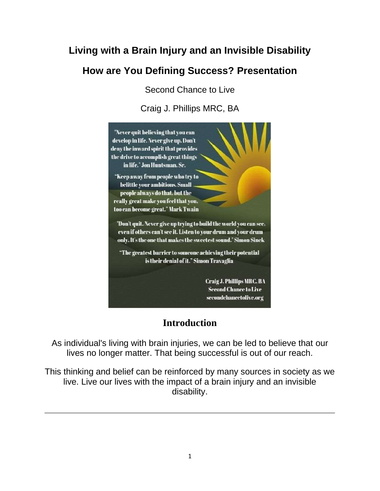# **Living with a Brain Injury and an Invisible Disability**

# **How are You Defining Success? Presentation**

Second Chance to Live

Craig J. Phillips MRC, BA



# **Introduction**

As individual's living with brain injuries, we can be led to believe that our lives no longer matter. That being successful is out of our reach.

This thinking and belief can be reinforced by many sources in society as we live. Live our lives with the impact of a brain injury and an invisible disability.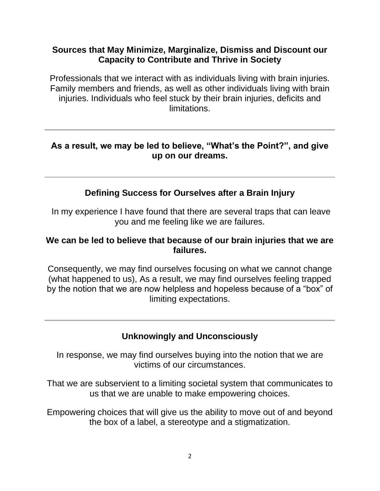## **Sources that May Minimize, Marginalize, Dismiss and Discount our Capacity to Contribute and Thrive in Society**

Professionals that we interact with as individuals living with brain injuries. Family members and friends, as well as other individuals living with brain injuries. Individuals who feel stuck by their brain injuries, deficits and limitations.

## **As a result, we may be led to believe, "What's the Point?", and give up on our dreams.**

# **Defining Success for Ourselves after a Brain Injury**

In my experience I have found that there are several traps that can leave you and me feeling like we are failures.

#### **We can be led to believe that because of our brain injuries that we are failures.**

Consequently, we may find ourselves focusing on what we cannot change (what happened to us), As a result, we may find ourselves feeling trapped by the notion that we are now helpless and hopeless because of a "box" of limiting expectations.

## **Unknowingly and Unconsciously**

In response, we may find ourselves buying into the notion that we are victims of our circumstances.

That we are subservient to a limiting societal system that communicates to us that we are unable to make empowering choices.

Empowering choices that will give us the ability to move out of and beyond the box of a label, a stereotype and a stigmatization.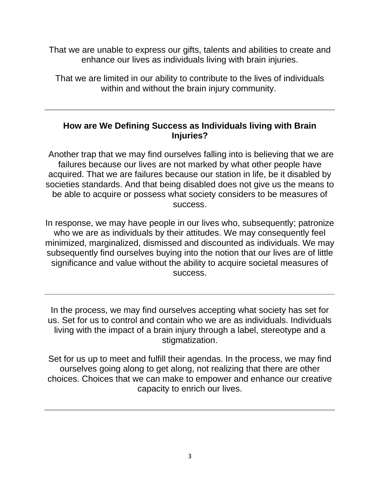That we are unable to express our gifts, talents and abilities to create and enhance our lives as individuals living with brain injuries.

That we are limited in our ability to contribute to the lives of individuals within and without the brain injury community.

## **How are We Defining Success as Individuals living with Brain Injuries?**

Another trap that we may find ourselves falling into is believing that we are failures because our lives are not marked by what other people have acquired. That we are failures because our station in life, be it disabled by societies standards. And that being disabled does not give us the means to be able to acquire or possess what society considers to be measures of success.

In response, we may have people in our lives who, subsequently; patronize who we are as individuals by their attitudes. We may consequently feel minimized, marginalized, dismissed and discounted as individuals. We may subsequently find ourselves buying into the notion that our lives are of little significance and value without the ability to acquire societal measures of success.

In the process, we may find ourselves accepting what society has set for us. Set for us to control and contain who we are as individuals. Individuals living with the impact of a brain injury through a label, stereotype and a stigmatization.

Set for us up to meet and fulfill their agendas. In the process, we may find ourselves going along to get along, not realizing that there are other choices. Choices that we can make to empower and enhance our creative capacity to enrich our lives.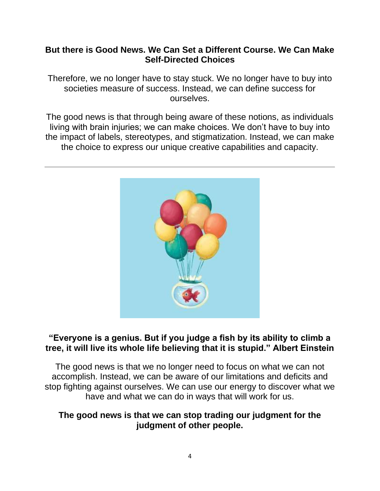# **But there is Good News. We Can Set a Different Course. We Can Make Self-Directed Choices**

Therefore, we no longer have to stay stuck. We no longer have to buy into societies measure of success. Instead, we can define success for ourselves.

The good news is that through being aware of these notions, as individuals living with brain injuries; we can make choices. We don't have to buy into the impact of labels, stereotypes, and stigmatization. Instead, we can make the choice to express our unique creative capabilities and capacity.



# **"Everyone is a genius. But if you judge a fish by its ability to climb a tree, it will live its whole life believing that it is stupid." Albert Einstein**

The good news is that we no longer need to focus on what we can not accomplish. Instead, we can be aware of our limitations and deficits and stop fighting against ourselves. We can use our energy to discover what we have and what we can do in ways that will work for us.

# **The good news is that we can stop trading our judgment for the judgment of other people.**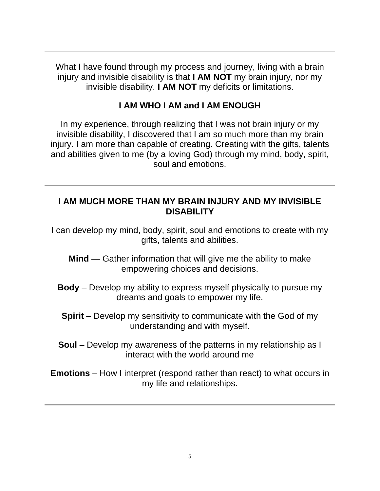What I have found through my process and journey, living with a brain injury and invisible disability is that **I AM NOT** my brain injury, nor my invisible disability. **I AM NOT** my deficits or limitations.

# **I AM WHO I AM and I AM ENOUGH**

In my experience, through realizing that I was not brain injury or my invisible disability, I discovered that I am so much more than my brain injury. I am more than capable of creating. Creating with the gifts, talents and abilities given to me (by a loving God) through my mind, body, spirit, soul and emotions.

## **I AM MUCH MORE THAN MY BRAIN INJURY AND MY INVISIBLE DISABILITY**

- I can develop my mind, body, spirit, soul and emotions to create with my gifts, talents and abilities.
	- **Mind** Gather information that will give me the ability to make empowering choices and decisions.
	- **Body** Develop my ability to express myself physically to pursue my dreams and goals to empower my life.
		- **Spirit** Develop my sensitivity to communicate with the God of my understanding and with myself.
	- **Soul** Develop my awareness of the patterns in my relationship as I interact with the world around me
- **Emotions** How I interpret (respond rather than react) to what occurs in my life and relationships.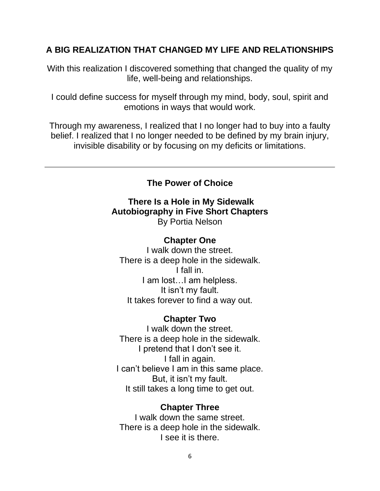# **A BIG REALIZATION THAT CHANGED MY LIFE AND RELATIONSHIPS**

With this realization I discovered something that changed the quality of my life, well-being and relationships.

I could define success for myself through my mind, body, soul, spirit and emotions in ways that would work.

Through my awareness, I realized that I no longer had to buy into a faulty belief. I realized that I no longer needed to be defined by my brain injury, invisible disability or by focusing on my deficits or limitations.

## **The Power of Choice**

#### **There Is a Hole in My Sidewalk Autobiography in Five Short Chapters** By Portia Nelson

#### **Chapter One**

I walk down the street. There is a deep hole in the sidewalk. I fall in. I am lost…I am helpless. It isn't my fault. It takes forever to find a way out.

#### **Chapter Two**

I walk down the street. There is a deep hole in the sidewalk. I pretend that I don't see it. I fall in again. I can't believe I am in this same place. But, it isn't my fault. It still takes a long time to get out.

#### **Chapter Three**

I walk down the same street. There is a deep hole in the sidewalk. I see it is there.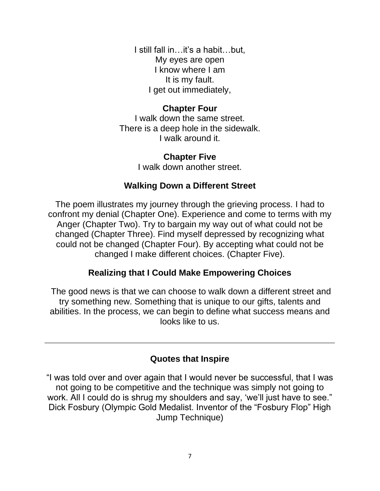I still fall in…it's a habit…but, My eyes are open I know where I am It is my fault. I get out immediately,

# **Chapter Four**

I walk down the same street. There is a deep hole in the sidewalk. I walk around it.

#### **Chapter Five**

I walk down another street.

#### **Walking Down a Different Street**

The poem illustrates my journey through the grieving process. I had to confront my denial (Chapter One). Experience and come to terms with my Anger (Chapter Two). Try to bargain my way out of what could not be changed (Chapter Three). Find myself depressed by recognizing what could not be changed (Chapter Four). By accepting what could not be changed I make different choices. (Chapter Five).

## **Realizing that I Could Make Empowering Choices**

The good news is that we can choose to walk down a different street and try something new. Something that is unique to our gifts, talents and abilities. In the process, we can begin to define what success means and looks like to us.

## **Quotes that Inspire**

"I was told over and over again that I would never be successful, that I was not going to be competitive and the technique was simply not going to work. All I could do is shrug my shoulders and say, 'we'll just have to see." Dick Fosbury (Olympic Gold Medalist. Inventor of the "Fosbury Flop" High Jump Technique)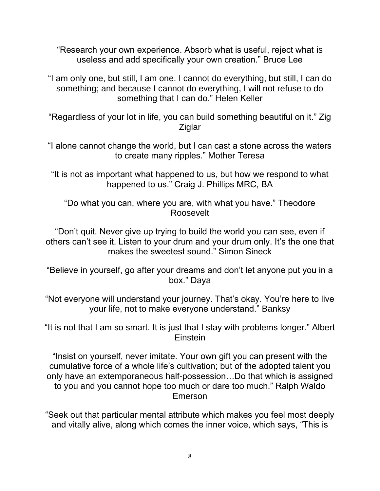"Research your own experience. Absorb what is useful, reject what is useless and add specifically your own creation." Bruce Lee

"I am only one, but still, I am one. I cannot do everything, but still, I can do something; and because I cannot do everything, I will not refuse to do something that I can do." Helen Keller

"Regardless of your lot in life, you can build something beautiful on it." Zig Ziglar

"I alone cannot change the world, but I can cast a stone across the waters to create many ripples." Mother Teresa

"It is not as important what happened to us, but how we respond to what happened to us." Craig J. Phillips MRC, BA

"Do what you can, where you are, with what you have." Theodore Roosevelt

"Don't quit. Never give up trying to build the world you can see, even if others can't see it. Listen to your drum and your drum only. It's the one that makes the sweetest sound." Simon Sineck

"Believe in yourself, go after your dreams and don't let anyone put you in a box." Daya

"Not everyone will understand your journey. That's okay. You're here to live your life, not to make everyone understand." Banksy

"It is not that I am so smart. It is just that I stay with problems longer." Albert **Einstein** 

"Insist on yourself, never imitate. Your own gift you can present with the cumulative force of a whole life's cultivation; but of the adopted talent you only have an extemporaneous half-possession…Do that which is assigned to you and you cannot hope too much or dare too much." Ralph Waldo Emerson

"Seek out that particular mental attribute which makes you feel most deeply and vitally alive, along which comes the inner voice, which says, "This is